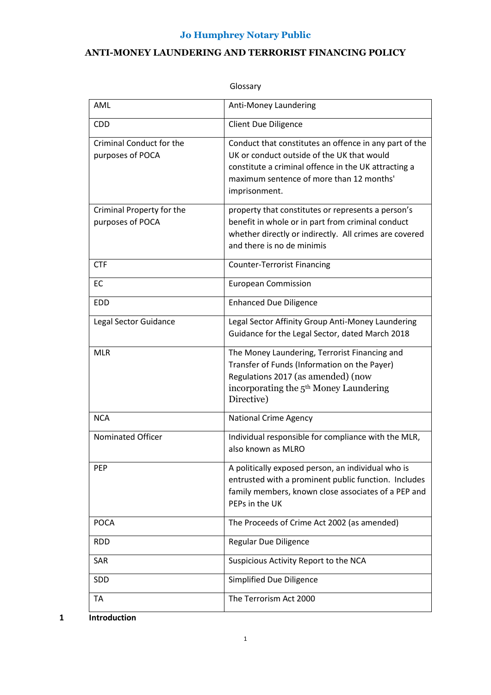# **ANTI-MONEY LAUNDERING AND TERRORIST FINANCING POLICY**

| AML                                           | Anti-Money Laundering                                                                                                                                                                                                     |
|-----------------------------------------------|---------------------------------------------------------------------------------------------------------------------------------------------------------------------------------------------------------------------------|
| <b>CDD</b>                                    | <b>Client Due Diligence</b>                                                                                                                                                                                               |
| Criminal Conduct for the<br>purposes of POCA  | Conduct that constitutes an offence in any part of the<br>UK or conduct outside of the UK that would<br>constitute a criminal offence in the UK attracting a<br>maximum sentence of more than 12 months'<br>imprisonment. |
| Criminal Property for the<br>purposes of POCA | property that constitutes or represents a person's<br>benefit in whole or in part from criminal conduct<br>whether directly or indirectly. All crimes are covered<br>and there is no de minimis                           |
| <b>CTF</b>                                    | <b>Counter-Terrorist Financing</b>                                                                                                                                                                                        |
| EC                                            | <b>European Commission</b>                                                                                                                                                                                                |
| <b>EDD</b>                                    | <b>Enhanced Due Diligence</b>                                                                                                                                                                                             |
| Legal Sector Guidance                         | Legal Sector Affinity Group Anti-Money Laundering<br>Guidance for the Legal Sector, dated March 2018                                                                                                                      |
| <b>MLR</b>                                    | The Money Laundering, Terrorist Financing and<br>Transfer of Funds (Information on the Payer)<br>Regulations 2017 (as amended) (now<br>incorporating the 5 <sup>th</sup> Money Laundering<br>Directive)                   |
| <b>NCA</b>                                    | <b>National Crime Agency</b>                                                                                                                                                                                              |
| <b>Nominated Officer</b>                      | Individual responsible for compliance with the MLR,<br>also known as MLRO                                                                                                                                                 |
| <b>PEP</b>                                    | A politically exposed person, an individual who is<br>entrusted with a prominent public function. Includes<br>family members, known close associates of a PEP and<br>PEPs in the UK                                       |
| <b>POCA</b>                                   | The Proceeds of Crime Act 2002 (as amended)                                                                                                                                                                               |
| <b>RDD</b>                                    | Regular Due Diligence                                                                                                                                                                                                     |
| SAR                                           | Suspicious Activity Report to the NCA                                                                                                                                                                                     |
| SDD                                           | <b>Simplified Due Diligence</b>                                                                                                                                                                                           |
| TA                                            | The Terrorism Act 2000                                                                                                                                                                                                    |

## Glossary

**1 Introduction**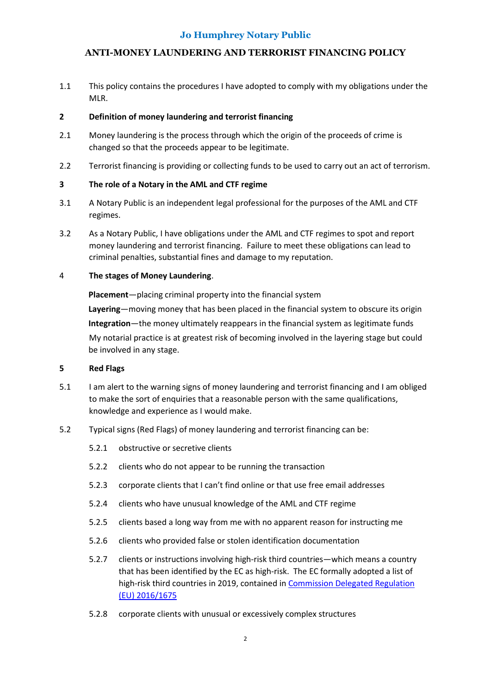# **ANTI-MONEY LAUNDERING AND TERRORIST FINANCING POLICY**

1.1 This policy contains the procedures I have adopted to comply with my obligations under the MLR.

## **2 Definition of money laundering and terrorist financing**

- 2.1 Money laundering is the process through which the origin of the proceeds of crime is changed so that the proceeds appear to be legitimate.
- 2.2 Terrorist financing is providing or collecting funds to be used to carry out an act of terrorism.

# **3 The role of a Notary in the AML and CTF regime**

- 3.1 A Notary Public is an independent legal professional for the purposes of the AML and CTF regimes.
- 3.2 As a Notary Public, I have obligations under the AML and CTF regimes to spot and report money laundering and terrorist financing. Failure to meet these obligations can lead to criminal penalties, substantial fines and damage to my reputation.

## 4 **The stages of Money Laundering**.

**Placement**—placing criminal property into the financial system **Layering**—moving money that has been placed in the financial system to obscure its origin **Integration**—the money ultimately reappears in the financial system as legitimate funds My notarial practice is at greatest risk of becoming involved in the layering stage but could be involved in any stage.

#### **5 Red Flags**

- 5.1 I am alert to the warning signs of money laundering and terrorist financing and I am obliged to make the sort of enquiries that a reasonable person with the same qualifications, knowledge and experience as I would make.
- 5.2 Typical signs (Red Flags) of money laundering and terrorist financing can be:
	- 5.2.1 obstructive or secretive clients
	- 5.2.2 clients who do not appear to be running the transaction
	- 5.2.3 corporate clients that I can't find online or that use free email addresses
	- 5.2.4 clients who have unusual knowledge of the AML and CTF regime
	- 5.2.5 clients based a long way from me with no apparent reason for instructing me
	- 5.2.6 clients who provided false or stolen identification documentation
	- 5.2.7 clients or instructions involving high-risk third countries—which means a country that has been identified by the EC as high-risk. The EC formally adopted a list of high-risk third countries in 2019, contained i[n Commission Delegated](http://eur-lex.europa.eu/legal-content/EN/TXT/?uri=uriserv%3AOJ.L_.2016.254.01.0001.01.ENG%20%20) Regulation [\(EU\) 2016/1675](http://eur-lex.europa.eu/legal-content/EN/TXT/?uri=uriserv%3AOJ.L_.2016.254.01.0001.01.ENG%20%20)
	- 5.2.8 corporate clients with unusual or excessively complex structures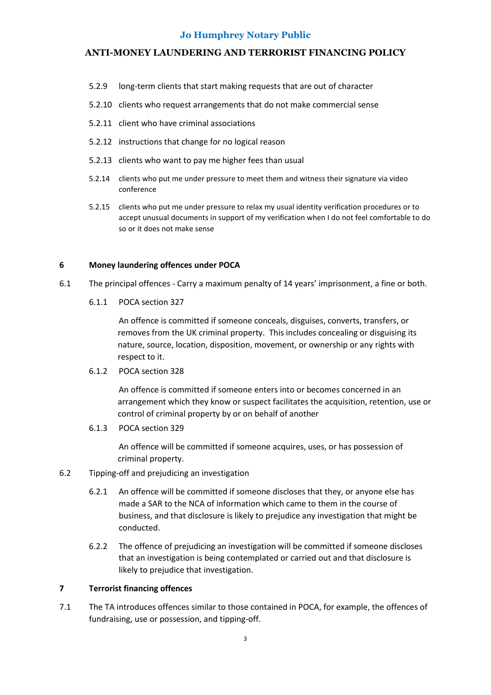# **ANTI-MONEY LAUNDERING AND TERRORIST FINANCING POLICY**

- 5.2.9 long-term clients that start making requests that are out of character
- 5.2.10 clients who request arrangements that do not make commercial sense
- 5.2.11 client who have criminal associations
- 5.2.12 instructions that change for no logical reason
- 5.2.13 clients who want to pay me higher fees than usual
- 5.2.14 clients who put me under pressure to meet them and witness their signature via video conference
- 5.2.15 clients who put me under pressure to relax my usual identity verification procedures or to accept unusual documents in support of my verification when I do not feel comfortable to do so or it does not make sense

#### **6 Money laundering offences under POCA**

- 6.1 The principal offences Carry a maximum penalty of 14 years' imprisonment, a fine or both.
	- 6.1.1 POCA section 327

An offence is committed if someone conceals, disguises, converts, transfers, or removes from the UK criminal property. This includes concealing or disguising its nature, source, location, disposition, movement, or ownership or any rights with respect to it.

6.1.2 POCA section 328

An offence is committed if someone enters into or becomes concerned in an arrangement which they know or suspect facilitates the acquisition, retention, use or control of criminal property by or on behalf of another

6.1.3 POCA section 329

An offence will be committed if someone acquires, uses, or has possession of criminal property.

#### 6.2 Tipping-off and prejudicing an investigation

- 6.2.1 An offence will be committed if someone discloses that they, or anyone else has made a SAR to the NCA of information which came to them in the course of business, and that disclosure is likely to prejudice any investigation that might be conducted.
- 6.2.2 The offence of prejudicing an investigation will be committed if someone discloses that an investigation is being contemplated or carried out and that disclosure is likely to prejudice that investigation.

#### **7 Terrorist financing offences**

7.1 The TA introduces offences similar to those contained in POCA, for example, the offences of fundraising, use or possession, and tipping-off.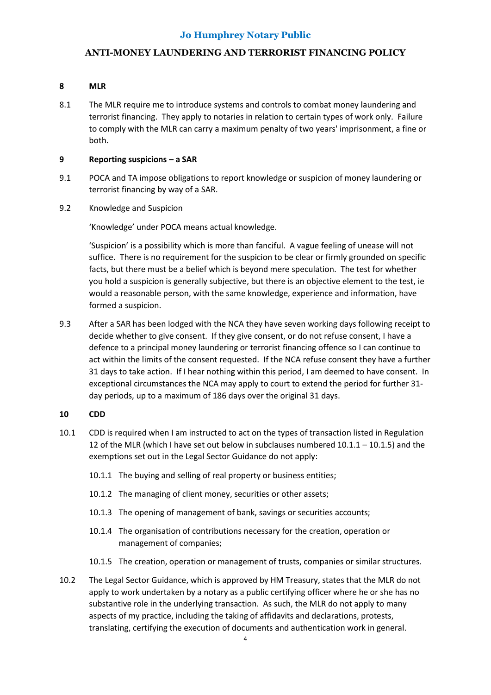# **ANTI-MONEY LAUNDERING AND TERRORIST FINANCING POLICY**

# **8 MLR**

8.1 The MLR require me to introduce systems and controls to combat money laundering and terrorist financing. They apply to notaries in relation to certain types of work only. Failure to comply with the MLR can carry a maximum penalty of two years' imprisonment, a fine or both.

## **9 Reporting suspicions – a SAR**

- 9.1 POCA and TA impose obligations to report knowledge or suspicion of money laundering or terrorist financing by way of a SAR.
- 9.2 Knowledge and Suspicion

'Knowledge' under POCA means actual knowledge.

'Suspicion' is a possibility which is more than fanciful. A vague feeling of unease will not suffice. There is no requirement for the suspicion to be clear or firmly grounded on specific facts, but there must be a belief which is beyond mere speculation. The test for whether you hold a suspicion is generally subjective, but there is an objective element to the test, ie would a reasonable person, with the same knowledge, experience and information, have formed a suspicion.

9.3 After a SAR has been lodged with the NCA they have seven working days following receipt to decide whether to give consent. If they give consent, or do not refuse consent, I have a defence to a principal money laundering or terrorist financing offence so I can continue to act within the limits of the consent requested. If the NCA refuse consent they have a further 31 days to take action. If I hear nothing within this period, I am deemed to have consent. In exceptional circumstances the NCA may apply to court to extend the period for further 31 day periods, up to a maximum of 186 days over the original 31 days.

#### **10 CDD**

- 10.1 CDD is required when I am instructed to act on the types of transaction listed in Regulation 12 of the MLR (which I have set out below in subclauses numbered 10.1.1 – 10.1.5) and the exemptions set out in the Legal Sector Guidance do not apply:
	- 10.1.1 The buying and selling of real property or business entities;
	- 10.1.2 The managing of client money, securities or other assets;
	- 10.1.3 The opening of management of bank, savings or securities accounts;
	- 10.1.4 The organisation of contributions necessary for the creation, operation or management of companies;
	- 10.1.5 The creation, operation or management of trusts, companies or similar structures.
- 10.2 The Legal Sector Guidance, which is approved by HM Treasury, states that the MLR do not apply to work undertaken by a notary as a public certifying officer where he or she has no substantive role in the underlying transaction. As such, the MLR do not apply to many aspects of my practice, including the taking of affidavits and declarations, protests, translating, certifying the execution of documents and authentication work in general.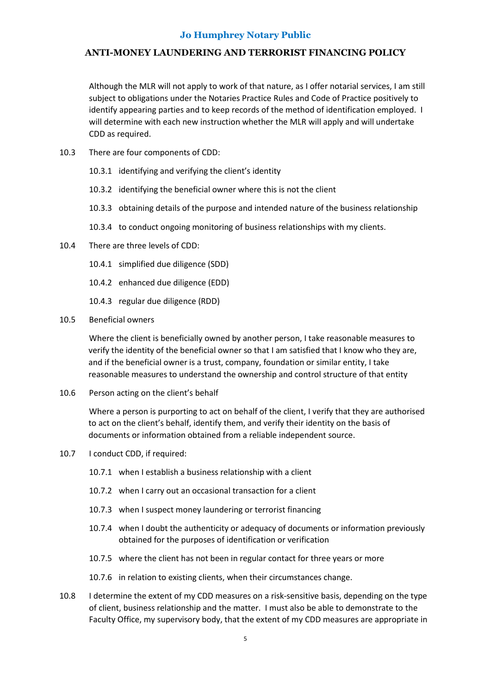# **ANTI-MONEY LAUNDERING AND TERRORIST FINANCING POLICY**

Although the MLR will not apply to work of that nature, as I offer notarial services, I am still subject to obligations under the Notaries Practice Rules and Code of Practice positively to identify appearing parties and to keep records of the method of identification employed. I will determine with each new instruction whether the MLR will apply and will undertake CDD as required.

- 10.3 There are four components of CDD:
	- 10.3.1 identifying and verifying the client's identity
	- 10.3.2 identifying the beneficial owner where this is not the client
	- 10.3.3 obtaining details of the purpose and intended nature of the business relationship
	- 10.3.4 to conduct ongoing monitoring of business relationships with my clients.
- 10.4 There are three levels of CDD:
	- 10.4.1 simplified due diligence (SDD)
	- 10.4.2 enhanced due diligence (EDD)
	- 10.4.3 regular due diligence (RDD)
- 10.5 Beneficial owners

Where the client is beneficially owned by another person, I take reasonable measures to verify the identity of the beneficial owner so that I am satisfied that I know who they are, and if the beneficial owner is a trust, company, foundation or similar entity, I take reasonable measures to understand the ownership and control structure of that entity

10.6 Person acting on the client's behalf

Where a person is purporting to act on behalf of the client, I verify that they are authorised to act on the client's behalf, identify them, and verify their identity on the basis of documents or information obtained from a reliable independent source.

- 10.7 I conduct CDD, if required:
	- 10.7.1 when I establish a business relationship with a client
	- 10.7.2 when I carry out an occasional transaction for a client
	- 10.7.3 when I suspect money laundering or terrorist financing
	- 10.7.4 when I doubt the authenticity or adequacy of documents or information previously obtained for the purposes of identification or verification
	- 10.7.5 where the client has not been in regular contact for three years or more
	- 10.7.6 in relation to existing clients, when their circumstances change.
- 10.8 I determine the extent of my CDD measures on a risk-sensitive basis, depending on the type of client, business relationship and the matter. I must also be able to demonstrate to the Faculty Office, my supervisory body, that the extent of my CDD measures are appropriate in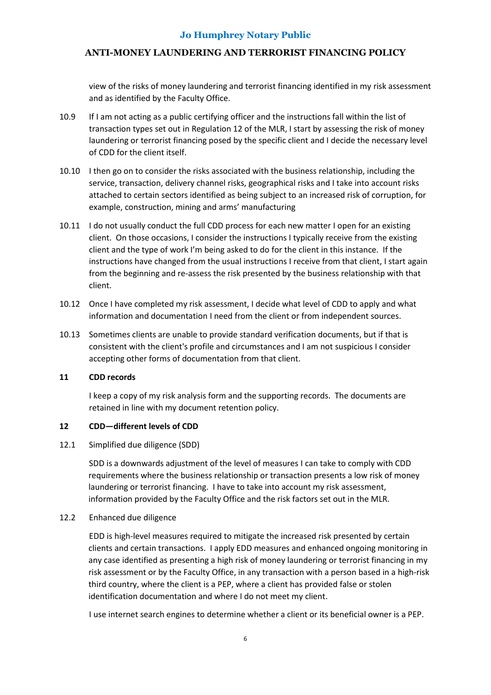# **ANTI-MONEY LAUNDERING AND TERRORIST FINANCING POLICY**

view of the risks of money laundering and terrorist financing identified in my risk assessment and as identified by the Faculty Office.

- 10.9 If I am not acting as a public certifying officer and the instructions fall within the list of transaction types set out in Regulation 12 of the MLR, I start by assessing the risk of money laundering or terrorist financing posed by the specific client and I decide the necessary level of CDD for the client itself.
- 10.10 I then go on to consider the risks associated with the business relationship, including the service, transaction, delivery channel risks, geographical risks and I take into account risks attached to certain sectors identified as being subject to an increased risk of corruption, for example, construction, mining and arms' manufacturing
- 10.11 I do not usually conduct the full CDD process for each new matter I open for an existing client. On those occasions, I consider the instructions I typically receive from the existing client and the type of work I'm being asked to do for the client in this instance. If the instructions have changed from the usual instructions I receive from that client, I start again from the beginning and re-assess the risk presented by the business relationship with that client.
- 10.12 Once I have completed my risk assessment, I decide what level of CDD to apply and what information and documentation I need from the client or from independent sources.
- 10.13 Sometimes clients are unable to provide standard verification documents, but if that is consistent with the client's profile and circumstances and I am not suspicious I consider accepting other forms of documentation from that client.

#### **11 CDD records**

I keep a copy of my risk analysis form and the supporting records. The documents are retained in line with my document retention policy.

# **12 CDD—different levels of CDD**

#### 12.1 Simplified due diligence (SDD)

SDD is a downwards adjustment of the level of measures I can take to comply with CDD requirements where the business relationship or transaction presents a low risk of money laundering or terrorist financing. I have to take into account my risk assessment, information provided by the Faculty Office and the risk factors set out in the MLR.

#### 12.2 Enhanced due diligence

EDD is high-level measures required to mitigate the increased risk presented by certain clients and certain transactions. I apply EDD measures and enhanced ongoing monitoring in any case identified as presenting a high risk of money laundering or terrorist financing in my risk assessment or by the Faculty Office, in any transaction with a person based in a high-risk third country, where the client is a PEP, where a client has provided false or stolen identification documentation and where I do not meet my client.

I use internet search engines to determine whether a client or its beneficial owner is a PEP.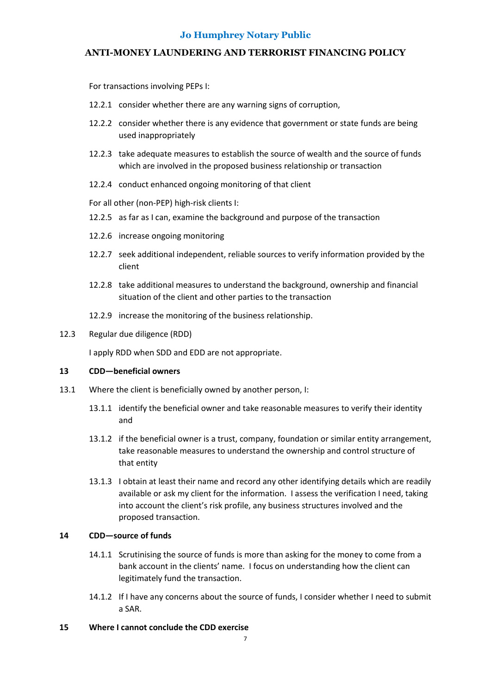# **ANTI-MONEY LAUNDERING AND TERRORIST FINANCING POLICY**

For transactions involving PEPs I:

- 12.2.1 consider whether there are any warning signs of corruption,
- 12.2.2 consider whether there is any evidence that government or state funds are being used inappropriately
- 12.2.3 take adequate measures to establish the source of wealth and the source of funds which are involved in the proposed business relationship or transaction
- 12.2.4 conduct enhanced ongoing monitoring of that client

For all other (non-PEP) high-risk clients I:

- 12.2.5 as far as I can, examine the background and purpose of the transaction
- 12.2.6 increase ongoing monitoring
- 12.2.7 seek additional independent, reliable sources to verify information provided by the client
- 12.2.8 take additional measures to understand the background, ownership and financial situation of the client and other parties to the transaction
- 12.2.9 increase the monitoring of the business relationship.

#### 12.3 Regular due diligence (RDD)

I apply RDD when SDD and EDD are not appropriate.

#### **13 CDD—beneficial owners**

- 13.1 Where the client is beneficially owned by another person, I:
	- 13.1.1 identify the beneficial owner and take reasonable measures to verify their identity and
	- 13.1.2 if the beneficial owner is a trust, company, foundation or similar entity arrangement, take reasonable measures to understand the ownership and control structure of that entity
	- 13.1.3 I obtain at least their name and record any other identifying details which are readily available or ask my client for the information. I assess the verification I need, taking into account the client's risk profile, any business structures involved and the proposed transaction.

#### **14 CDD—source of funds**

- 14.1.1 Scrutinising the source of funds is more than asking for the money to come from a bank account in the clients' name. I focus on understanding how the client can legitimately fund the transaction.
- 14.1.2 If I have any concerns about the source of funds, I consider whether I need to submit a SAR.
- **15 Where I cannot conclude the CDD exercise**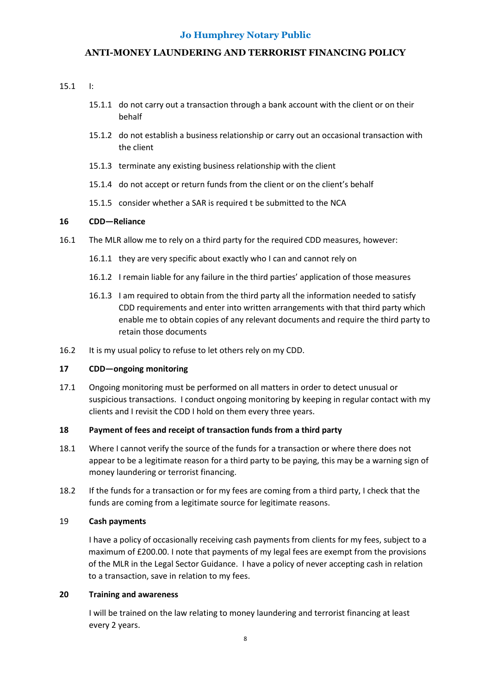## **ANTI-MONEY LAUNDERING AND TERRORIST FINANCING POLICY**

#### 15.1 I:

- 15.1.1 do not carry out a transaction through a bank account with the client or on their behalf
- 15.1.2 do not establish a business relationship or carry out an occasional transaction with the client
- 15.1.3 terminate any existing business relationship with the client
- 15.1.4 do not accept or return funds from the client or on the client's behalf
- 15.1.5 consider whether a SAR is required t be submitted to the NCA

#### **16 CDD—Reliance**

- 16.1 The MLR allow me to rely on a third party for the required CDD measures, however:
	- 16.1.1 they are very specific about exactly who I can and cannot rely on
	- 16.1.2 I remain liable for any failure in the third parties' application of those measures
	- 16.1.3 I am required to obtain from the third party all the information needed to satisfy CDD requirements and enter into written arrangements with that third party which enable me to obtain copies of any relevant documents and require the third party to retain those documents
- 16.2 It is my usual policy to refuse to let others rely on my CDD.

#### **17 CDD—ongoing monitoring**

17.1 Ongoing monitoring must be performed on all matters in order to detect unusual or suspicious transactions. I conduct ongoing monitoring by keeping in regular contact with my clients and I revisit the CDD I hold on them every three years.

#### **18 Payment of fees and receipt of transaction funds from a third party**

- 18.1 Where I cannot verify the source of the funds for a transaction or where there does not appear to be a legitimate reason for a third party to be paying, this may be a warning sign of money laundering or terrorist financing.
- 18.2 If the funds for a transaction or for my fees are coming from a third party, I check that the funds are coming from a legitimate source for legitimate reasons.

#### 19 **Cash payments**

I have a policy of occasionally receiving cash payments from clients for my fees, subject to a maximum of £200.00. I note that payments of my legal fees are exempt from the provisions of the MLR in the Legal Sector Guidance. I have a policy of never accepting cash in relation to a transaction, save in relation to my fees.

#### **20 Training and awareness**

I will be trained on the law relating to money laundering and terrorist financing at least every 2 years.